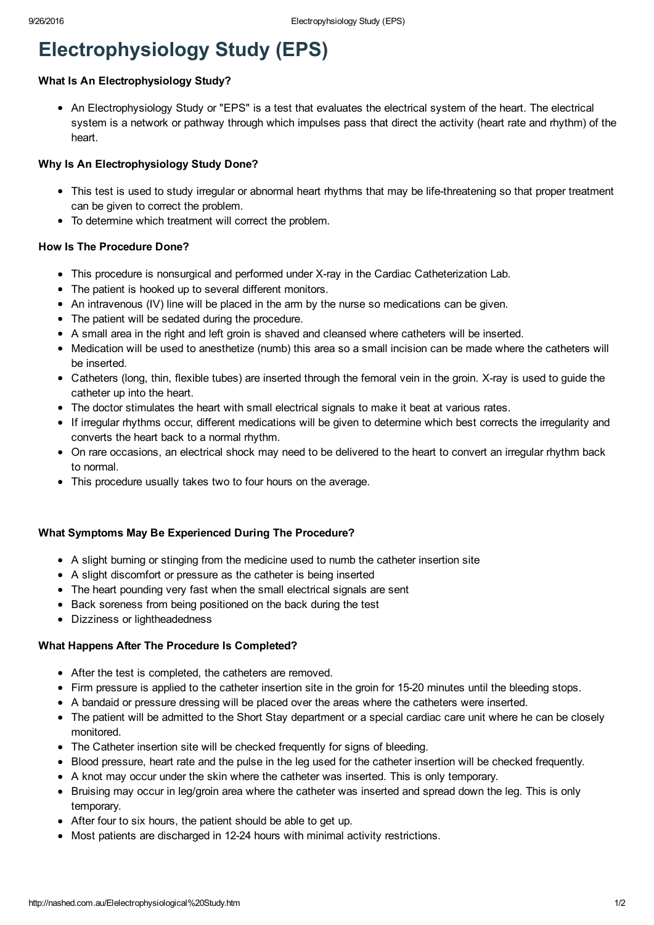# Electrophysiology Study (EPS)

# What Is An Electrophysiology Study?

An Electrophysiology Study or "EPS" is a test that evaluates the electrical system of the heart. The electrical system is a network or pathway through which impulses pass that direct the activity (heart rate and rhythm) of the heart.

# Why Is An Electrophysiology Study Done?

- This test is used to study irregular or abnormal heart rhythms that may be life-threatening so that proper treatment can be given to correct the problem.
- To determine which treatment will correct the problem.

### How Is The Procedure Done?

- This procedure is nonsurgical and performed under X-ray in the Cardiac Catheterization Lab.
- The patient is hooked up to several different monitors.
- An intravenous (IV) line will be placed in the arm by the nurse so medications can be given.
- The patient will be sedated during the procedure.
- A small area in the right and left groin is shaved and cleansed where catheters will be inserted.
- Medication will be used to anesthetize (numb) this area so a small incision can be made where the catheters will be inserted.
- Catheters (long, thin, flexible tubes) are inserted through the femoral vein in the groin. X-ray is used to guide the catheter up into the heart.
- The doctor stimulates the heart with small electrical signals to make it beat at various rates.
- If irregular rhythms occur, different medications will be given to determine which best corrects the irregularity and converts the heart back to a normal rhythm.
- On rare occasions, an electrical shock may need to be delivered to the heart to convert an irregular rhythm back to normal.
- This procedure usually takes two to four hours on the average.

# What Symptoms May Be Experienced During The Procedure?

- A slight burning or stinging from the medicine used to numb the catheter insertion site
- A slight discomfort or pressure as the catheter is being inserted
- The heart pounding very fast when the small electrical signals are sent
- Back soreness from being positioned on the back during the test
- Dizziness or lightheadedness

#### What Happens After The Procedure Is Completed?

- After the test is completed, the catheters are removed.
- Firm pressure is applied to the catheter insertion site in the groin for 1520 minutes until the bleeding stops.
- A bandaid or pressure dressing will be placed over the areas where the catheters were inserted.
- The patient will be admitted to the Short Stay department or a special cardiac care unit where he can be closely monitored.
- The Catheter insertion site will be checked frequently for signs of bleeding.
- Blood pressure, heart rate and the pulse in the leg used for the catheter insertion will be checked frequently.
- A knot may occur under the skin where the catheter was inserted. This is only temporary.
- Bruising may occur in leg/groin area where the catheter was inserted and spread down the leg. This is only temporary.
- After four to six hours, the patient should be able to get up.
- Most patients are discharged in 1224 hours with minimal activity restrictions.